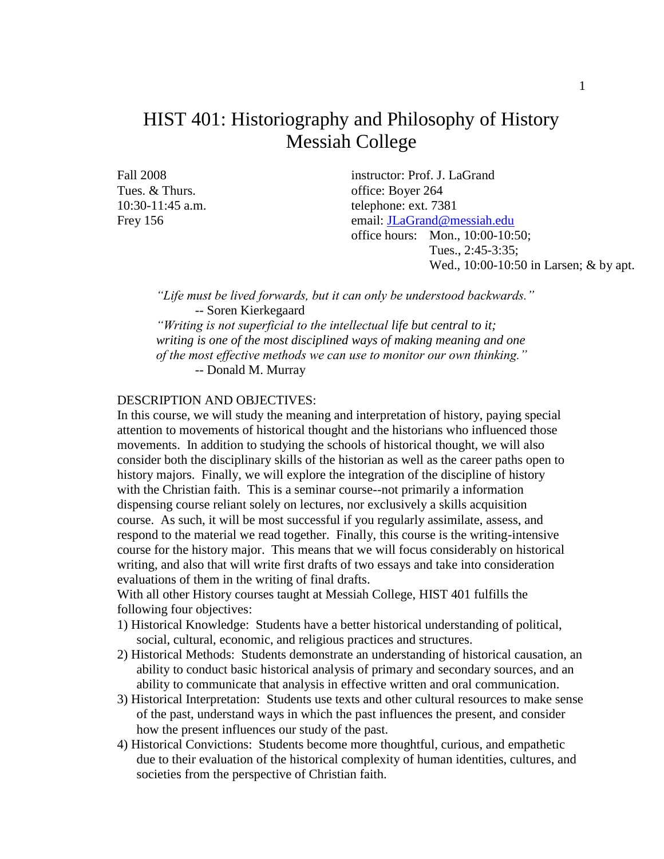### HIST 401: Historiography and Philosophy of History Messiah College

Fall 2008 instructor: Prof. J. LaGrand Tues. & Thurs.  $\frac{1}{264}$  office: Boyer 264 10:30-11:45 a.m. telephone: ext. 7381 Frey 156 email: [JLaGrand@messiah.edu](mailto:JLaGrand@messiah.edu) office hours: Mon., 10:00-10:50; Tues., 2:45-3:35; Wed., 10:00-10:50 in Larsen; & by apt.

*"Life must be lived forwards, but it can only be understood backwards."* -- Soren Kierkegaard *"Writing is not superficial to the intellectual life but central to it; writing is one of the most disciplined ways of making meaning and one of the most effective methods we can use to monitor our own thinking."* -- Donald M. Murray

#### DESCRIPTION AND OBJECTIVES:

In this course, we will study the meaning and interpretation of history, paying special attention to movements of historical thought and the historians who influenced those movements. In addition to studying the schools of historical thought, we will also consider both the disciplinary skills of the historian as well as the career paths open to history majors. Finally, we will explore the integration of the discipline of history with the Christian faith. This is a seminar course--not primarily a information dispensing course reliant solely on lectures, nor exclusively a skills acquisition course. As such, it will be most successful if you regularly assimilate, assess, and respond to the material we read together. Finally, this course is the writing-intensive course for the history major. This means that we will focus considerably on historical writing, and also that will write first drafts of two essays and take into consideration evaluations of them in the writing of final drafts.

With all other History courses taught at Messiah College, HIST 401 fulfills the following four objectives:

- 1) Historical Knowledge: Students have a better historical understanding of political, social, cultural, economic, and religious practices and structures.
- 2) Historical Methods: Students demonstrate an understanding of historical causation, an ability to conduct basic historical analysis of primary and secondary sources, and an ability to communicate that analysis in effective written and oral communication.
- 3) Historical Interpretation: Students use texts and other cultural resources to make sense of the past, understand ways in which the past influences the present, and consider how the present influences our study of the past.
- 4) Historical Convictions: Students become more thoughtful, curious, and empathetic due to their evaluation of the historical complexity of human identities, cultures, and societies from the perspective of Christian faith.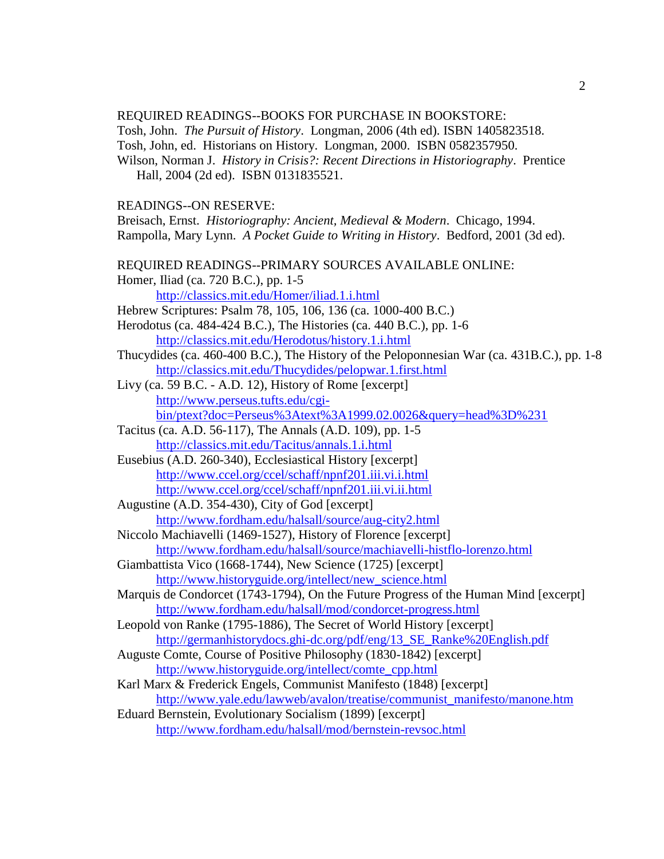#### REQUIRED READINGS--BOOKS FOR PURCHASE IN BOOKSTORE:

Tosh, John. *The Pursuit of History*. Longman, 2006 (4th ed). ISBN 1405823518. Tosh, John, ed. Historians on History. Longman, 2000. ISBN 0582357950.

Wilson, Norman J. *History in Crisis?: Recent Directions in Historiography*. Prentice Hall, 2004 (2d ed). ISBN 0131835521.

#### READINGS--ON RESERVE:

Breisach, Ernst. *Historiography: Ancient, Medieval & Modern*. Chicago, 1994. Rampolla, Mary Lynn. *A Pocket Guide to Writing in History*. Bedford, 2001 (3d ed).

REQUIRED READINGS--PRIMARY SOURCES AVAILABLE ONLINE:

Homer, Iliad (ca. 720 B.C.), pp. 1-5

<http://classics.mit.edu/Homer/iliad.1.i.html>

Hebrew Scriptures: Psalm 78, 105, 106, 136 (ca. 1000-400 B.C.)

Herodotus (ca. 484-424 B.C.), The Histories (ca. 440 B.C.), pp. 1-6 <http://classics.mit.edu/Herodotus/history.1.i.html>

Thucydides (ca. 460-400 B.C.), The History of the Peloponnesian War (ca. 431B.C.), pp. 1-8 <http://classics.mit.edu/Thucydides/pelopwar.1.first.html>

Livy (ca. 59 B.C. - A.D. 12), History of Rome [excerpt] [http://www.perseus.tufts.edu/cgi](http://www.perseus.tufts.edu/cgi-bin/ptext?doc=Perseus%3Atext%3A1999.02.0026&query=head%3D%231)[bin/ptext?doc=Perseus%3Atext%3A1999.02.0026&query=head%3D%231](http://www.perseus.tufts.edu/cgi-bin/ptext?doc=Perseus%3Atext%3A1999.02.0026&query=head%3D%231)

- Tacitus (ca. A.D. 56-117), The Annals (A.D. 109), pp. 1-5 <http://classics.mit.edu/Tacitus/annals.1.i.html>
- Eusebius (A.D. 260-340), Ecclesiastical History [excerpt] <http://www.ccel.org/ccel/schaff/npnf201.iii.vi.i.html> <http://www.ccel.org/ccel/schaff/npnf201.iii.vi.ii.html>
- Augustine (A.D. 354-430), City of God [excerpt] <http://www.fordham.edu/halsall/source/aug-city2.html>
- Niccolo Machiavelli (1469-1527), History of Florence [excerpt] <http://www.fordham.edu/halsall/source/machiavelli-histflo-lorenzo.html>
- Giambattista Vico (1668-1744), New Science (1725) [excerpt] [http://www.historyguide.org/intellect/new\\_science.html](http://www.historyguide.org/intellect/new_science.html)
- Marquis de Condorcet (1743-1794), On the Future Progress of the Human Mind [excerpt] <http://www.fordham.edu/halsall/mod/condorcet-progress.html>
- Leopold von Ranke (1795-1886), The Secret of World History [excerpt] [http://germanhistorydocs.ghi-dc.org/pdf/eng/13\\_SE\\_Ranke%20English.pdf](http://germanhistorydocs.ghi-dc.org/pdf/eng/13_SE_Ranke%20English.pdf)
- Auguste Comte, Course of Positive Philosophy (1830-1842) [excerpt] [http://www.historyguide.org/intellect/comte\\_cpp.html](http://www.historyguide.org/intellect/comte_cpp.html)
- Karl Marx & Frederick Engels, Communist Manifesto (1848) [excerpt] [http://www.yale.edu/lawweb/avalon/treatise/communist\\_manifesto/manone.htm](http://www.yale.edu/lawweb/avalon/treatise/communist_manifesto/manone.htm)
- Eduard Bernstein, Evolutionary Socialism (1899) [excerpt] <http://www.fordham.edu/halsall/mod/bernstein-revsoc.html>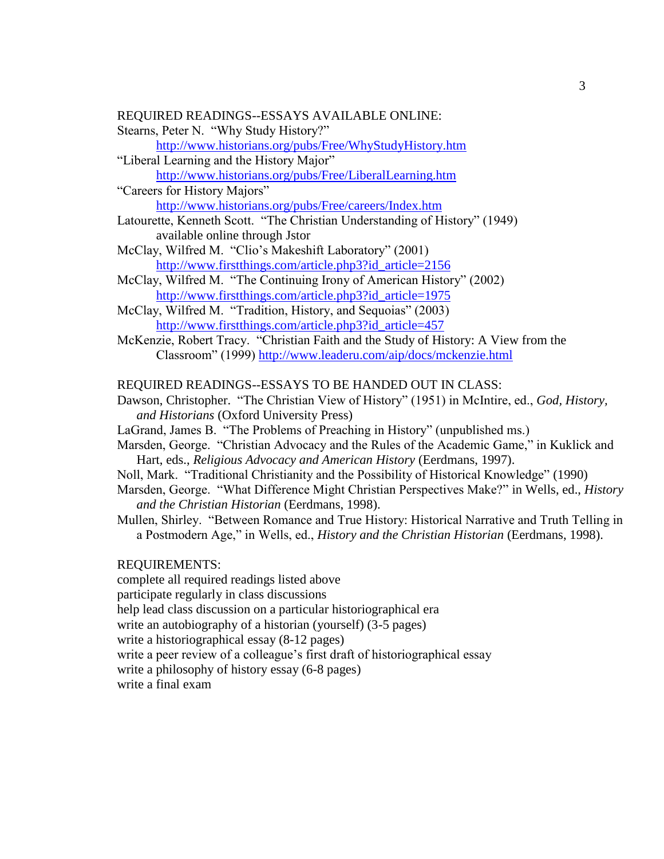#### REQUIRED READINGS--ESSAYS AVAILABLE ONLINE:

Stearns, Peter N. "Why Study History?"

<http://www.historians.org/pubs/Free/WhyStudyHistory.htm>

"Liberal Learning and the History Major"

<http://www.historians.org/pubs/Free/LiberalLearning.htm> "Careers for History Majors"

<http://www.historians.org/pubs/Free/careers/Index.htm>

- Latourette, Kenneth Scott. "The Christian Understanding of History" (1949) available online through Jstor
- McClay, Wilfred M. "Clio's Makeshift Laboratory" (2001) [http://www.firstthings.com/article.php3?id\\_article=2156](http://www.firstthings.com/article.php3?id_article=2156)
- McClay, Wilfred M. "The Continuing Irony of American History" (2002) [http://www.firstthings.com/article.php3?id\\_article=1975](http://www.firstthings.com/article.php3?id_article=1975)

McClay, Wilfred M. "Tradition, History, and Sequoias" (2003) [http://www.firstthings.com/article.php3?id\\_article=457](http://www.firstthings.com/article.php3?id_article=457)

McKenzie, Robert Tracy. "Christian Faith and the Study of History: A View from the Classroom" (1999)<http://www.leaderu.com/aip/docs/mckenzie.html>

REQUIRED READINGS--ESSAYS TO BE HANDED OUT IN CLASS:

- Dawson, Christopher. "The Christian View of History" (1951) in McIntire, ed., *God, History, and Historians* (Oxford University Press)
- LaGrand, James B. "The Problems of Preaching in History" (unpublished ms.)
- Marsden, George. "Christian Advocacy and the Rules of the Academic Game," in Kuklick and Hart, eds., *Religious Advocacy and American History* (Eerdmans, 1997).
- Noll, Mark. "Traditional Christianity and the Possibility of Historical Knowledge" (1990)
- Marsden, George. "What Difference Might Christian Perspectives Make?" in Wells, ed., *History and the Christian Historian* (Eerdmans, 1998).
- Mullen, Shirley. "Between Romance and True History: Historical Narrative and Truth Telling in a Postmodern Age," in Wells, ed., *History and the Christian Historian* (Eerdmans, 1998).

#### REQUIREMENTS:

complete all required readings listed above

participate regularly in class discussions

help lead class discussion on a particular historiographical era

write an autobiography of a historian (yourself) (3-5 pages)

write a historiographical essay (8-12 pages)

write a peer review of a colleague's first draft of historiographical essay

write a philosophy of history essay (6-8 pages)

write a final exam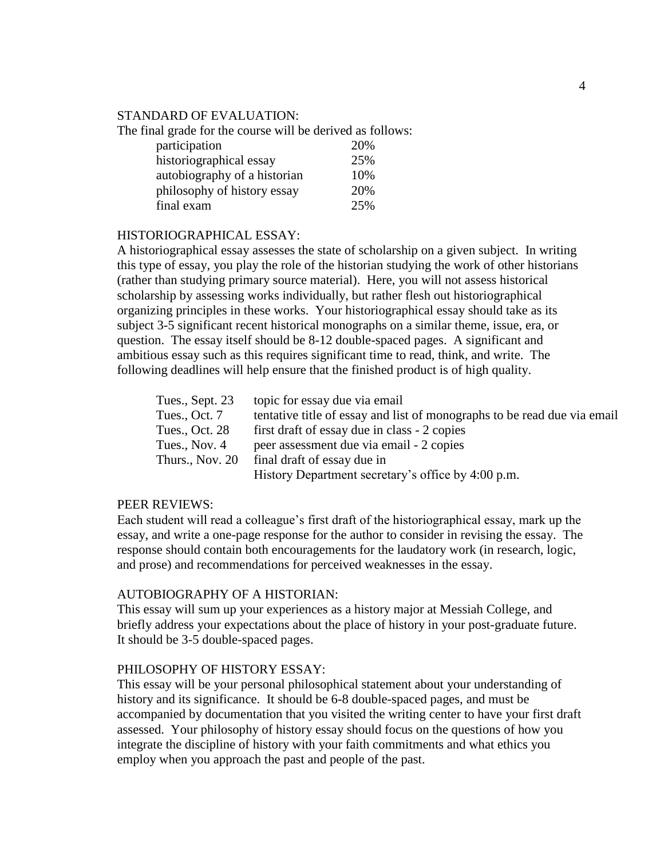#### STANDARD OF EVALUATION:

The final grade for the course will be derived as follows:

| participation                | 20% |
|------------------------------|-----|
| historiographical essay      | 25% |
| autobiography of a historian | 10% |
| philosophy of history essay  | 20% |
| final exam                   | 25% |

#### HISTORIOGRAPHICAL ESSAY:

A historiographical essay assesses the state of scholarship on a given subject. In writing this type of essay, you play the role of the historian studying the work of other historians (rather than studying primary source material). Here, you will not assess historical scholarship by assessing works individually, but rather flesh out historiographical organizing principles in these works. Your historiographical essay should take as its subject 3-5 significant recent historical monographs on a similar theme, issue, era, or question. The essay itself should be 8-12 double-spaced pages. A significant and ambitious essay such as this requires significant time to read, think, and write. The following deadlines will help ensure that the finished product is of high quality.

| Tues., Sept. 23 | topic for essay due via email                                            |
|-----------------|--------------------------------------------------------------------------|
| Tues., Oct. 7   | tentative title of essay and list of monographs to be read due via email |
| Tues., Oct. 28  | first draft of essay due in class - 2 copies                             |
| Tues., Nov. 4   | peer assessment due via email - 2 copies                                 |
| Thurs., Nov. 20 | final draft of essay due in                                              |
|                 | History Department secretary's office by 4:00 p.m.                       |

#### PEER REVIEWS:

Each student will read a colleague's first draft of the historiographical essay, mark up the essay, and write a one-page response for the author to consider in revising the essay. The response should contain both encouragements for the laudatory work (in research, logic, and prose) and recommendations for perceived weaknesses in the essay.

#### AUTOBIOGRAPHY OF A HISTORIAN:

This essay will sum up your experiences as a history major at Messiah College, and briefly address your expectations about the place of history in your post-graduate future. It should be 3-5 double-spaced pages.

#### PHILOSOPHY OF HISTORY ESSAY:

This essay will be your personal philosophical statement about your understanding of history and its significance. It should be 6-8 double-spaced pages, and must be accompanied by documentation that you visited the writing center to have your first draft assessed. Your philosophy of history essay should focus on the questions of how you integrate the discipline of history with your faith commitments and what ethics you employ when you approach the past and people of the past.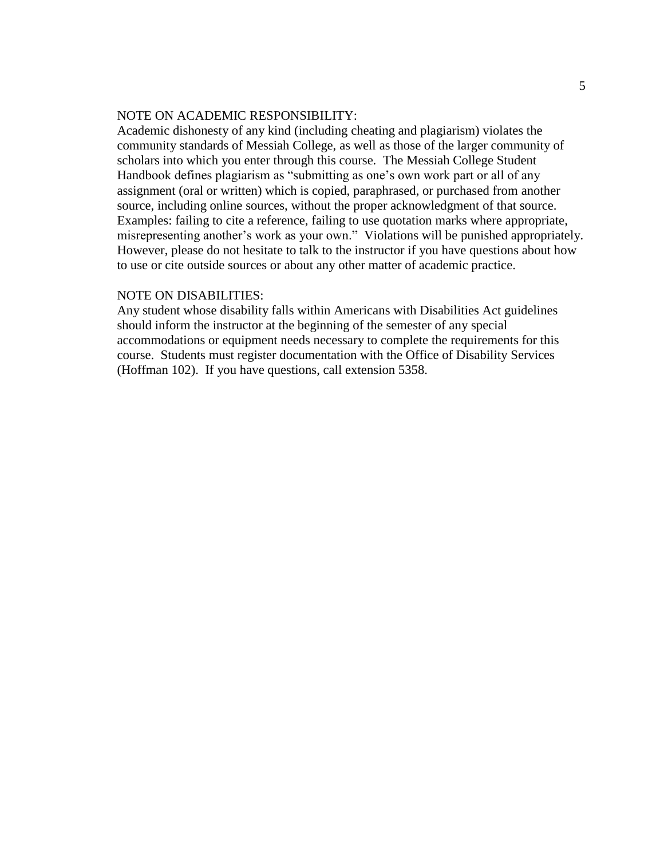#### NOTE ON ACADEMIC RESPONSIBILITY:

Academic dishonesty of any kind (including cheating and plagiarism) violates the community standards of Messiah College, as well as those of the larger community of scholars into which you enter through this course. The Messiah College Student Handbook defines plagiarism as "submitting as one's own work part or all of any assignment (oral or written) which is copied, paraphrased, or purchased from another source, including online sources, without the proper acknowledgment of that source. Examples: failing to cite a reference, failing to use quotation marks where appropriate, misrepresenting another's work as your own." Violations will be punished appropriately. However, please do not hesitate to talk to the instructor if you have questions about how to use or cite outside sources or about any other matter of academic practice.

#### NOTE ON DISABILITIES:

Any student whose disability falls within Americans with Disabilities Act guidelines should inform the instructor at the beginning of the semester of any special accommodations or equipment needs necessary to complete the requirements for this course. Students must register documentation with the Office of Disability Services (Hoffman 102). If you have questions, call extension 5358.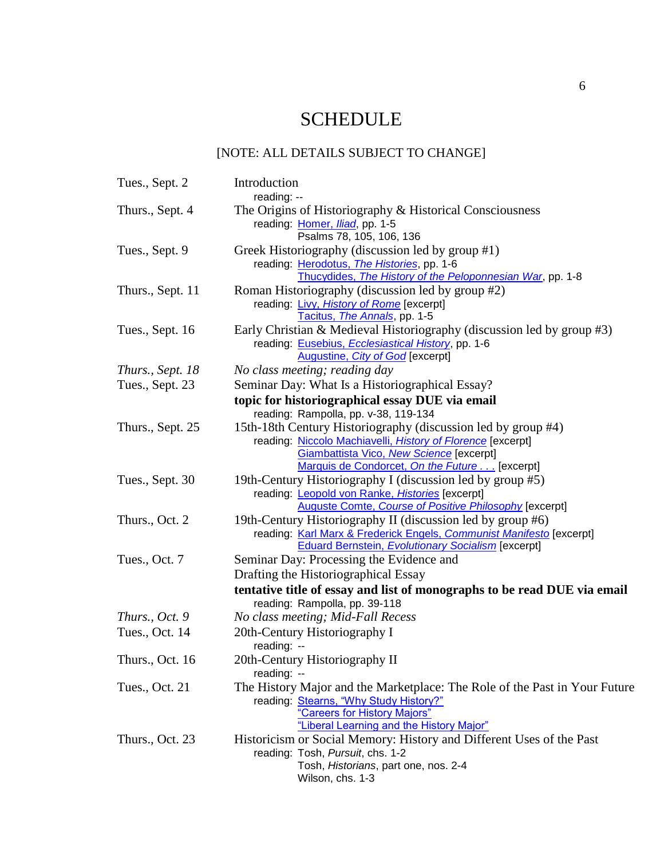# **SCHEDULE**

## [NOTE: ALL DETAILS SUBJECT TO CHANGE]

| Tues., Sept. 2   | Introduction<br>reading: --                                                                                                                                                                                               |
|------------------|---------------------------------------------------------------------------------------------------------------------------------------------------------------------------------------------------------------------------|
| Thurs., Sept. 4  | The Origins of Historiography & Historical Consciousness<br>reading: Homer, Iliad, pp. 1-5<br>Psalms 78, 105, 106, 136                                                                                                    |
| Tues., Sept. 9   | Greek Historiography (discussion led by group #1)<br>reading: Herodotus, The Histories, pp. 1-6<br>Thucydides, The History of the Peloponnesian War, pp. 1-8                                                              |
| Thurs., Sept. 11 | Roman Historiography (discussion led by group #2)<br>reading: Livy, History of Rome [excerpt]<br>Tacitus, The Annals, pp. 1-5                                                                                             |
| Tues., Sept. 16  | Early Christian & Medieval Historiography (discussion led by group #3)<br>reading: Eusebius, Ecclesiastical History, pp. 1-6<br>Augustine, City of God [excerpt]                                                          |
| Thurs., Sept. 18 | No class meeting; reading day                                                                                                                                                                                             |
| Tues., Sept. 23  | Seminar Day: What Is a Historiographical Essay?                                                                                                                                                                           |
|                  | topic for historiographical essay DUE via email                                                                                                                                                                           |
|                  | reading: Rampolla, pp. v-38, 119-134                                                                                                                                                                                      |
| Thurs., Sept. 25 | 15th-18th Century Historiography (discussion led by group #4)<br>reading: Niccolo Machiavelli, History of Florence [excerpt]<br>Giambattista Vico, New Science [excerpt]<br>Marquis de Condorcet, On the Future [excerpt] |
| Tues., Sept. 30  | 19th-Century Historiography I (discussion led by group #5)<br>reading: Leopold von Ranke, Histories [excerpt]<br><b>Auguste Comte, Course of Positive Philosophy [excerpt]</b>                                            |
| Thurs., Oct. 2   | 19th-Century Historiography II (discussion led by group #6)<br>reading: Karl Marx & Frederick Engels, Communist Manifesto [excerpt]<br><b>Eduard Bernstein, Evolutionary Socialism</b> [excerpt]                          |
| Tues., Oct. 7    | Seminar Day: Processing the Evidence and                                                                                                                                                                                  |
|                  | Drafting the Historiographical Essay                                                                                                                                                                                      |
|                  | tentative title of essay and list of monographs to be read DUE via email                                                                                                                                                  |
|                  | reading: Rampolla, pp. 39-118                                                                                                                                                                                             |
| Thurs., Oct. 9   | No class meeting; Mid-Fall Recess                                                                                                                                                                                         |
| Tues., Oct. 14   | 20th-Century Historiography I                                                                                                                                                                                             |
|                  | reading: --                                                                                                                                                                                                               |
| Thurs., Oct. 16  | 20th-Century Historiography II                                                                                                                                                                                            |
| Tues., Oct. 21   | reading: --<br>The History Major and the Marketplace: The Role of the Past in Your Future<br>reading: Stearns, "Why Study History?"<br>"Careers for History Majors"<br>"Liberal Learning and the History Major"           |
| Thurs., Oct. 23  | Historicism or Social Memory: History and Different Uses of the Past<br>reading: Tosh, Pursuit, chs. 1-2<br>Tosh, Historians, part one, nos. 2-4<br>Wilson, chs. 1-3                                                      |